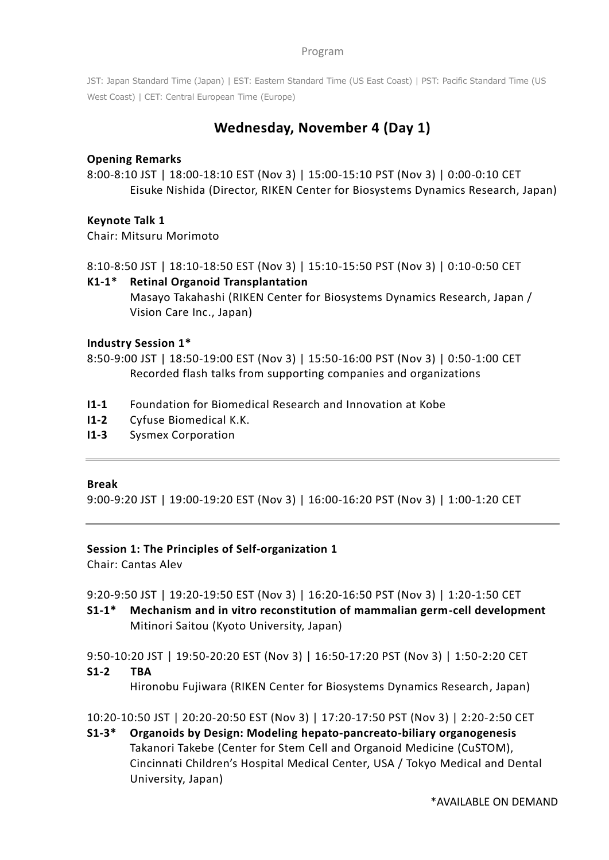JST: Japan Standard Time (Japan) | EST: Eastern Standard Time (US East Coast) | PST: Pacific Standard Time (US West Coast) | CET: Central European Time (Europe)

# **Wednesday, November 4 (Day 1)**

## **Opening Remarks**

8:00-8:10 JST | 18:00-18:10 EST (Nov 3) | 15:00-15:10 PST (Nov 3) | 0:00-0:10 CET Eisuke Nishida (Director, RIKEN Center for Biosystems Dynamics Research, Japan)

## **Keynote Talk 1**

Chair: Mitsuru Morimoto

8:10-8:50 JST | 18:10-18:50 EST (Nov 3) | 15:10-15:50 PST (Nov 3) | 0:10-0:50 CET

## **K1-1\* Retinal Organoid Transplantation**

Masayo Takahashi (RIKEN Center for Biosystems Dynamics Research, Japan / Vision Care Inc., Japan)

### **Industry Session 1\***

8:50-9:00 JST | 18:50-19:00 EST (Nov 3) | 15:50-16:00 PST (Nov 3) | 0:50-1:00 CET Recorded flash talks from supporting companies and organizations

- **I1-1** Foundation for Biomedical Research and Innovation at Kobe
- **I1-2** Cyfuse Biomedical K.K.
- **I1-3** Sysmex Corporation

#### **Break**

9:00-9:20 JST | 19:00-19:20 EST (Nov 3) | 16:00-16:20 PST (Nov 3) | 1:00-1:20 CET

### **Session 1: The Principles of Self-organization 1**

Chair: Cantas Alev

9:20-9:50 JST | 19:20-19:50 EST (Nov 3) | 16:20-16:50 PST (Nov 3) | 1:20-1:50 CET

**S1-1\* Mechanism and in vitro reconstitution of mammalian germ-cell development** Mitinori Saitou (Kyoto University, Japan)

9:50-10:20 JST | 19:50-20:20 EST (Nov 3) | 16:50-17:20 PST (Nov 3) | 1:50-2:20 CET

### **S1-2 TBA**

Hironobu Fujiwara (RIKEN Center for Biosystems Dynamics Research, Japan)

10:20-10:50 JST | 20:20-20:50 EST (Nov 3) | 17:20-17:50 PST (Nov 3) | 2:20-2:50 CET

**S1-3\* Organoids by Design: Modeling hepato-pancreato-biliary organogenesis** Takanori Takebe (Center for Stem Cell and Organoid Medicine (CuSTOM), Cincinnati Children's Hospital Medical Center, USA / Tokyo Medical and Dental University, Japan)

\*AVAILABLE ON DEMAND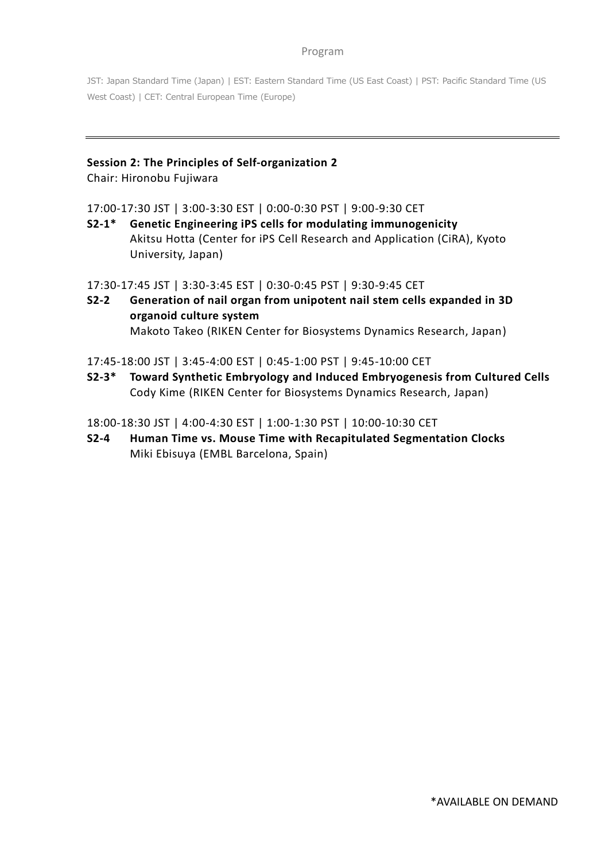JST: Japan Standard Time (Japan) | EST: Eastern Standard Time (US East Coast) | PST: Pacific Standard Time (US West Coast) | CET: Central European Time (Europe)

# **Session 2: The Principles of Self-organization 2**

Chair: Hironobu Fujiwara

17:00-17:30 JST | 3:00-3:30 EST | 0:00-0:30 PST | 9:00-9:30 CET

**S2-1\* Genetic Engineering iPS cells for modulating immunogenicity** Akitsu Hotta (Center for iPS Cell Research and Application (CiRA), Kyoto University, Japan)

17:30-17:45 JST | 3:30-3:45 EST | 0:30-0:45 PST | 9:30-9:45 CET

**S2-2 Generation of nail organ from unipotent nail stem cells expanded in 3D organoid culture system** Makoto Takeo (RIKEN Center for Biosystems Dynamics Research, Japan)

17:45-18:00 JST | 3:45-4:00 EST | 0:45-1:00 PST | 9:45-10:00 CET

**S2-3\* Toward Synthetic Embryology and Induced Embryogenesis from Cultured Cells** Cody Kime (RIKEN Center for Biosystems Dynamics Research, Japan)

18:00-18:30 JST | 4:00-4:30 EST | 1:00-1:30 PST | 10:00-10:30 CET

**S2-4 Human Time vs. Mouse Time with Recapitulated Segmentation Clocks** Miki Ebisuya (EMBL Barcelona, Spain)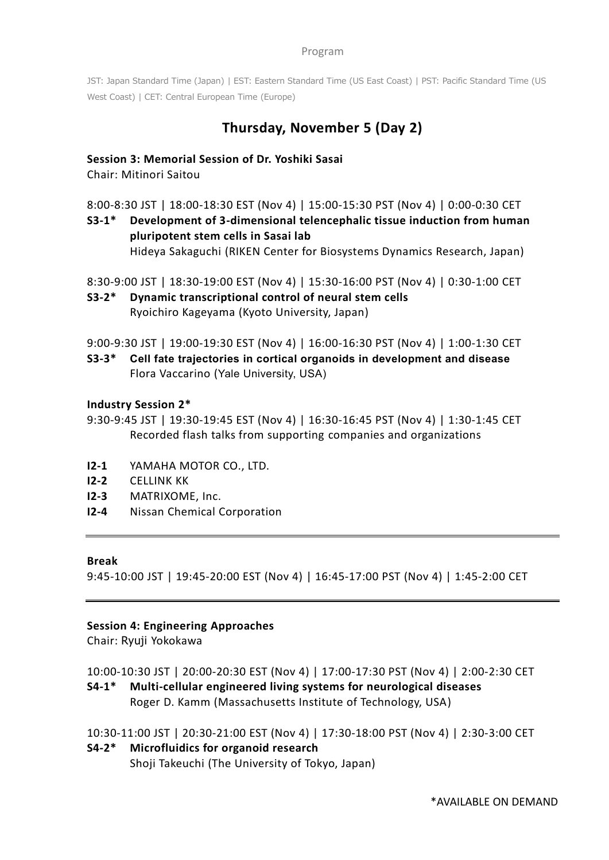JST: Japan Standard Time (Japan) | EST: Eastern Standard Time (US East Coast) | PST: Pacific Standard Time (US West Coast) | CET: Central European Time (Europe)

# **Thursday, November 5 (Day 2)**

## **Session 3: Memorial Session of Dr. Yoshiki Sasai**

Chair: Mitinori Saitou

8:00-8:30 JST | 18:00-18:30 EST (Nov 4) | 15:00-15:30 PST (Nov 4) | 0:00-0:30 CET

**S3-1\* Development of 3-dimensional telencephalic tissue induction from human pluripotent stem cells in Sasai lab** Hideya Sakaguchi (RIKEN Center for Biosystems Dynamics Research, Japan)

8:30-9:00 JST | 18:30-19:00 EST (Nov 4) | 15:30-16:00 PST (Nov 4) | 0:30-1:00 CET

**S3-2\* Dynamic transcriptional control of neural stem cells** Ryoichiro Kageyama (Kyoto University, Japan)

9:00-9:30 JST | 19:00-19:30 EST (Nov 4) | 16:00-16:30 PST (Nov 4) | 1:00-1:30 CET

**S3-3\* Cell fate trajectories in cortical organoids in development and disease** Flora Vaccarino (Yale University, USA)

### **Industry Session 2\***

9:30-9:45 JST | 19:30-19:45 EST (Nov 4) | 16:30-16:45 PST (Nov 4) | 1:30-1:45 CET Recorded flash talks from supporting companies and organizations

- **I2-1** YAMAHA MOTOR CO., LTD.
- **I2-2** CELLINK KK
- **I2-3** MATRIXOME, Inc.
- **I2-4** Nissan Chemical Corporation

### **Break**

9:45-10:00 JST | 19:45-20:00 EST (Nov 4) | 16:45-17:00 PST (Nov 4) | 1:45-2:00 CET

### **Session 4: Engineering Approaches**

Chair: Ryuji Yokokawa

10:00-10:30 JST | 20:00-20:30 EST (Nov 4) | 17:00-17:30 PST (Nov 4) | 2:00-2:30 CET

**S4-1\* Multi-cellular engineered living systems for neurological diseases** Roger D. Kamm (Massachusetts Institute of Technology, USA)

10:30-11:00 JST | 20:30-21:00 EST (Nov 4) | 17:30-18:00 PST (Nov 4) | 2:30-3:00 CET

# **S4-2\* Microfluidics for organoid research**

Shoji Takeuchi (The University of Tokyo, Japan)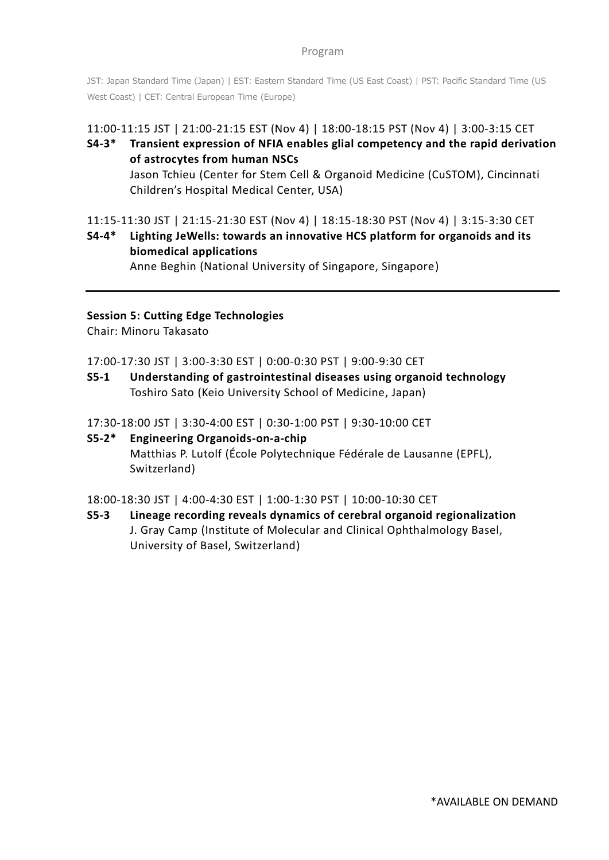JST: Japan Standard Time (Japan) | EST: Eastern Standard Time (US East Coast) | PST: Pacific Standard Time (US West Coast) | CET: Central European Time (Europe)

# 11:00-11:15 JST | 21:00-21:15 EST (Nov 4) | 18:00-18:15 PST (Nov 4) | 3:00-3:15 CET

**S4-3\* Transient expression of NFIA enables glial competency and the rapid derivation of astrocytes from human NSCs** Jason Tchieu (Center for Stem Cell & Organoid Medicine (CuSTOM), Cincinnati Children's Hospital Medical Center, USA)

11:15-11:30 JST | 21:15-21:30 EST (Nov 4) | 18:15-18:30 PST (Nov 4) | 3:15-3:30 CET **S4-4\* Lighting JeWells: towards an innovative HCS platform for organoids and its biomedical applications**

Anne Beghin (National University of Singapore, Singapore)

## **Session 5: Cutting Edge Technologies**

Chair: Minoru Takasato

17:00-17:30 JST | 3:00-3:30 EST | 0:00-0:30 PST | 9:00-9:30 CET

**S5-1 Understanding of gastrointestinal diseases using organoid technology** Toshiro Sato (Keio University School of Medicine, Japan)

17:30-18:00 JST | 3:30-4:00 EST | 0:30-1:00 PST | 9:30-10:00 CET

**S5-2\* Engineering Organoids-on-a-chip** Matthias P. Lutolf (École Polytechnique Fédérale de Lausanne (EPFL), Switzerland)

18:00-18:30 JST | 4:00-4:30 EST | 1:00-1:30 PST | 10:00-10:30 CET

**S5-3 Lineage recording reveals dynamics of cerebral organoid regionalization** J. Gray Camp (Institute of Molecular and Clinical Ophthalmology Basel, University of Basel, Switzerland)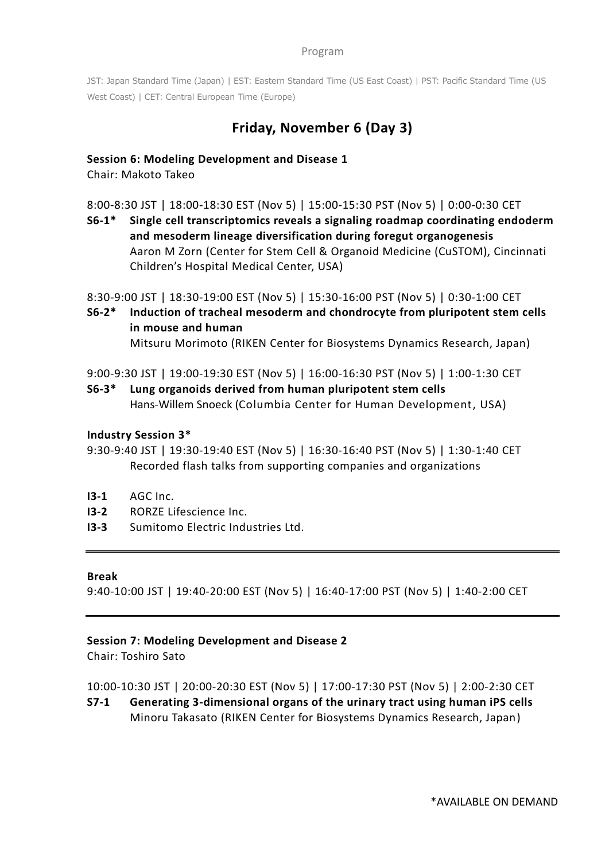JST: Japan Standard Time (Japan) | EST: Eastern Standard Time (US East Coast) | PST: Pacific Standard Time (US West Coast) | CET: Central European Time (Europe)

# **Friday, November 6 (Day 3)**

## **Session 6: Modeling Development and Disease 1**

Chair: Makoto Takeo

8:00-8:30 JST | 18:00-18:30 EST (Nov 5) | 15:00-15:30 PST (Nov 5) | 0:00-0:30 CET

**S6-1\* Single cell transcriptomics reveals a signaling roadmap coordinating endoderm and mesoderm lineage diversification during foregut organogenesis** Aaron M Zorn (Center for Stem Cell & Organoid Medicine (CuSTOM), Cincinnati Children's Hospital Medical Center, USA)

8:30-9:00 JST | 18:30-19:00 EST (Nov 5) | 15:30-16:00 PST (Nov 5) | 0:30-1:00 CET

**S6-2\* Induction of tracheal mesoderm and chondrocyte from pluripotent stem cells in mouse and human**

Mitsuru Morimoto (RIKEN Center for Biosystems Dynamics Research, Japan)

9:00-9:30 JST | 19:00-19:30 EST (Nov 5) | 16:00-16:30 PST (Nov 5) | 1:00-1:30 CET

**S6-3\* Lung organoids derived from human pluripotent stem cells** Hans-Willem Snoeck (Columbia Center for Human Development, USA)

### **Industry Session 3\***

- 9:30-9:40 JST | 19:30-19:40 EST (Nov 5) | 16:30-16:40 PST (Nov 5) | 1:30-1:40 CET Recorded flash talks from supporting companies and organizations
- **I3-1** AGC Inc.
- **I3-2** RORZE Lifescience Inc.
- **I3-3** Sumitomo Electric Industries Ltd.

### **Break**

9:40-10:00 JST | 19:40-20:00 EST (Nov 5) | 16:40-17:00 PST (Nov 5) | 1:40-2:00 CET

### **Session 7: Modeling Development and Disease 2**

Chair: Toshiro Sato

10:00-10:30 JST | 20:00-20:30 EST (Nov 5) | 17:00-17:30 PST (Nov 5) | 2:00-2:30 CET

**S7-1 Generating 3-dimensional organs of the urinary tract using human iPS cells** Minoru Takasato (RIKEN Center for Biosystems Dynamics Research, Japan)